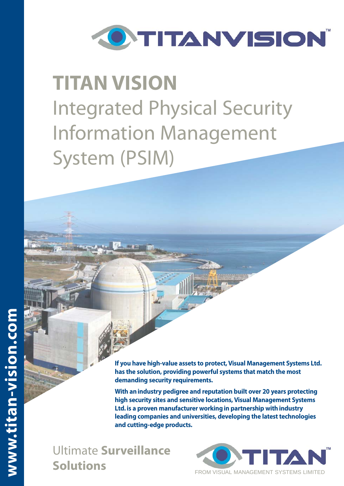

# **TITAN VISION**  Integrated Physical Security Information Management System (PSIM)

**If you have high-value assets to protect, Visual Management Systems Ltd. has the solution, providing powerful systems that match the most demanding security requirements.**

**With an industry pedigree and reputation built over 20 years protecting high security sites and sensitive locations, Visual Management Systems Ltd. is a proven manufacturer working in partnership with industry leading companies and universities, developing the latest technologies and cutting-edge products.** 

Ultimate **Surveillance Solutions**